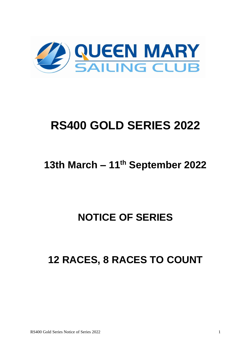

# **RS400 GOLD SERIES 2022**

## **13th March – 11th September 2022**

## **NOTICE OF SERIES**

## **12 RACES, 8 RACES TO COUNT**